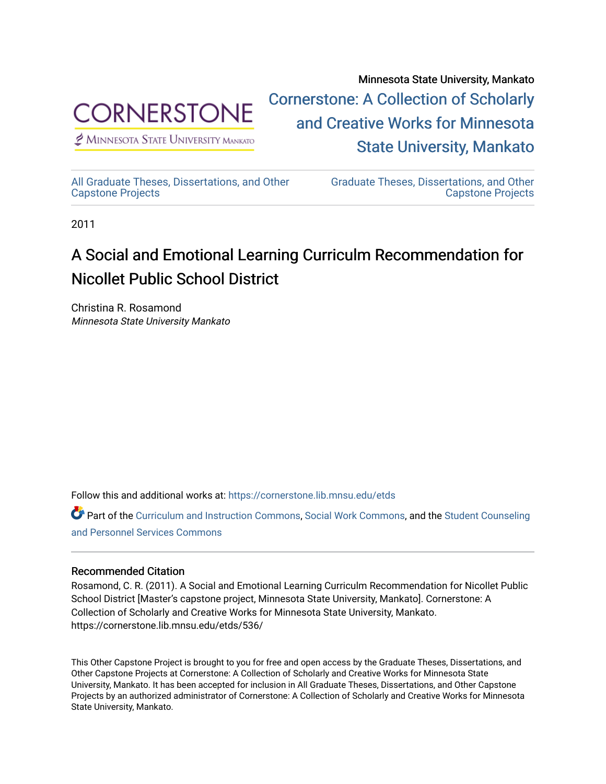

 $<sup>2</sup>$  Minnesota State University Mankato</sup>

Minnesota State University, Mankato [Cornerstone: A Collection of Scholarly](https://cornerstone.lib.mnsu.edu/)  [and Creative Works for Minnesota](https://cornerstone.lib.mnsu.edu/)  [State University, Mankato](https://cornerstone.lib.mnsu.edu/) 

[All Graduate Theses, Dissertations, and Other](https://cornerstone.lib.mnsu.edu/etds)  [Capstone Projects](https://cornerstone.lib.mnsu.edu/etds) 

[Graduate Theses, Dissertations, and Other](https://cornerstone.lib.mnsu.edu/theses_dissertations-capstone)  [Capstone Projects](https://cornerstone.lib.mnsu.edu/theses_dissertations-capstone) 

2011

#### A Social and Emotional Learning Curriculm Recommendation for Nicollet Public School District

Christina R. Rosamond Minnesota State University Mankato

Follow this and additional works at: [https://cornerstone.lib.mnsu.edu/etds](https://cornerstone.lib.mnsu.edu/etds?utm_source=cornerstone.lib.mnsu.edu%2Fetds%2F536&utm_medium=PDF&utm_campaign=PDFCoverPages) 

Part of the [Curriculum and Instruction Commons,](http://network.bepress.com/hgg/discipline/786?utm_source=cornerstone.lib.mnsu.edu%2Fetds%2F536&utm_medium=PDF&utm_campaign=PDFCoverPages) [Social Work Commons](http://network.bepress.com/hgg/discipline/713?utm_source=cornerstone.lib.mnsu.edu%2Fetds%2F536&utm_medium=PDF&utm_campaign=PDFCoverPages), and the Student Counseling [and Personnel Services Commons](http://network.bepress.com/hgg/discipline/802?utm_source=cornerstone.lib.mnsu.edu%2Fetds%2F536&utm_medium=PDF&utm_campaign=PDFCoverPages)

#### Recommended Citation

Rosamond, C. R. (2011). A Social and Emotional Learning Curriculm Recommendation for Nicollet Public School District [Master's capstone project, Minnesota State University, Mankato]. Cornerstone: A Collection of Scholarly and Creative Works for Minnesota State University, Mankato. https://cornerstone.lib.mnsu.edu/etds/536/

This Other Capstone Project is brought to you for free and open access by the Graduate Theses, Dissertations, and Other Capstone Projects at Cornerstone: A Collection of Scholarly and Creative Works for Minnesota State University, Mankato. It has been accepted for inclusion in All Graduate Theses, Dissertations, and Other Capstone Projects by an authorized administrator of Cornerstone: A Collection of Scholarly and Creative Works for Minnesota State University, Mankato.